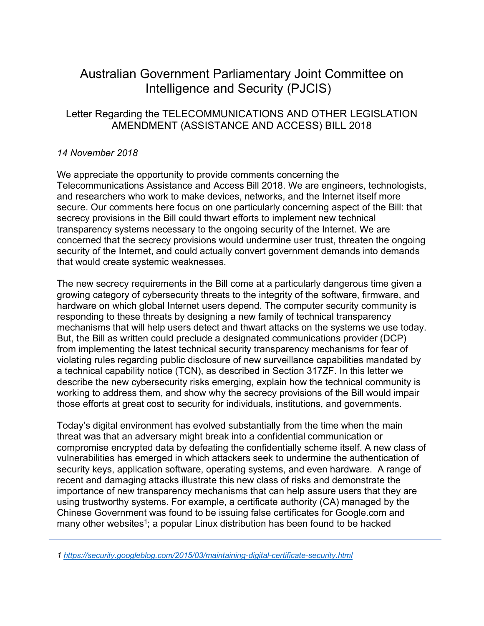# Australian Government Parliamentary Joint Committee on Intelligence and Security (PJCIS)

## Letter Regarding the TELECOMMUNICATIONS AND OTHER LEGISLATION AMENDMENT (ASSISTANCE AND ACCESS) BILL 2018

## *14 November 2018*

We appreciate the opportunity to provide comments concerning the Telecommunications Assistance and Access Bill 2018. We are engineers, technologists, and researchers who work to make devices, networks, and the Internet itself more secure. Our comments here focus on one particularly concerning aspect of the Bill: that secrecy provisions in the Bill could thwart efforts to implement new technical transparency systems necessary to the ongoing security of the Internet. We are concerned that the secrecy provisions would undermine user trust, threaten the ongoing security of the Internet, and could actually convert government demands into demands that would create systemic weaknesses.

The new secrecy requirements in the Bill come at a particularly dangerous time given a growing category of cybersecurity threats to the integrity of the software, firmware, and hardware on which global Internet users depend. The computer security community is responding to these threats by designing a new family of technical transparency mechanisms that will help users detect and thwart attacks on the systems we use today. But, the Bill as written could preclude a designated communications provider (DCP) from implementing the latest technical security transparency mechanisms for fear of violating rules regarding public disclosure of new surveillance capabilities mandated by a technical capability notice (TCN), as described in Section 317ZF. In this letter we describe the new cybersecurity risks emerging, explain how the technical community is working to address them, and show why the secrecy provisions of the Bill would impair those efforts at great cost to security for individuals, institutions, and governments.

Today's digital environment has evolved substantially from the time when the main threat was that an adversary might break into a confidential communication or compromise encrypted data by defeating the confidentially scheme itself. A new class of vulnerabilities has emerged in which attackers seek to undermine the authentication of security keys, application software, operating systems, and even hardware. A range of recent and damaging attacks illustrate this new class of risks and demonstrate the importance of new transparency mechanisms that can help assure users that they are using trustworthy systems. For example, a certificate authority (CA) managed by the Chinese Government was found to be issuing false certificates for Google.com and many other websites<sup>1</sup>; a popular Linux distribution has been found to be hacked

*<sup>1</sup> https://security.googleblog.com/2015/03/maintaining-digital-certificate-security.html*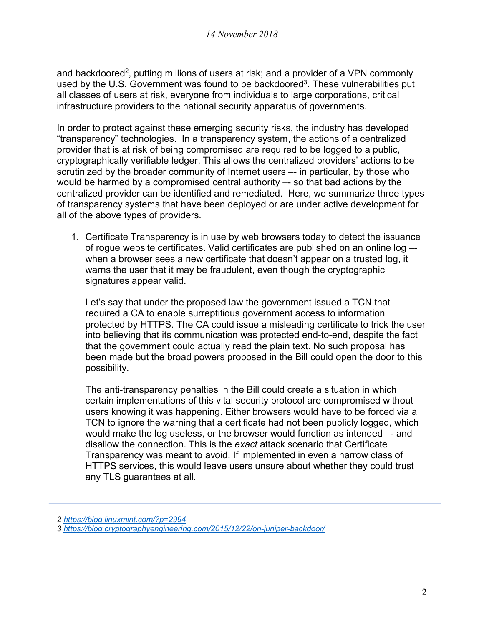and backdoored<sup>2</sup>, putting millions of users at risk; and a provider of a VPN commonly used by the U.S. Government was found to be backdoored<sup>3</sup>. These vulnerabilities put all classes of users at risk, everyone from individuals to large corporations, critical infrastructure providers to the national security apparatus of governments.

In order to protect against these emerging security risks, the industry has developed "transparency" technologies. In a transparency system, the actions of a centralized provider that is at risk of being compromised are required to be logged to a public, cryptographically verifiable ledger. This allows the centralized providers' actions to be scrutinized by the broader community of Internet users -- in particular, by those who would be harmed by a compromised central authority –- so that bad actions by the centralized provider can be identified and remediated. Here, we summarize three types of transparency systems that have been deployed or are under active development for all of the above types of providers.

1. Certificate Transparency is in use by web browsers today to detect the issuance of rogue website certificates. Valid certificates are published on an online log – when a browser sees a new certificate that doesn't appear on a trusted log, it warns the user that it may be fraudulent, even though the cryptographic signatures appear valid.

Let's say that under the proposed law the government issued a TCN that required a CA to enable surreptitious government access to information protected by HTTPS. The CA could issue a misleading certificate to trick the user into believing that its communication was protected end-to-end, despite the fact that the government could actually read the plain text. No such proposal has been made but the broad powers proposed in the Bill could open the door to this possibility.

The anti-transparency penalties in the Bill could create a situation in which certain implementations of this vital security protocol are compromised without users knowing it was happening. Either browsers would have to be forced via a TCN to ignore the warning that a certificate had not been publicly logged, which would make the log useless, or the browser would function as intended –- and disallow the connection. This is the *exact* attack scenario that Certificate Transparency was meant to avoid. If implemented in even a narrow class of HTTPS services, this would leave users unsure about whether they could trust any TLS guarantees at all.

*<sup>2</sup> https://blog.linuxmint.com/?p=2994*

*<sup>3</sup> https://blog.cryptographyengineering.com/2015/12/22/on-juniper-backdoor/*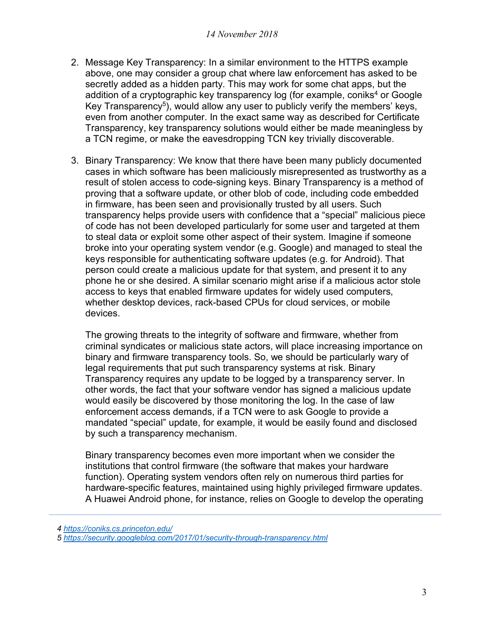- 2. Message Key Transparency: In a similar environment to the HTTPS example above, one may consider a group chat where law enforcement has asked to be secretly added as a hidden party. This may work for some chat apps, but the addition of a cryptographic key transparency log (for example, coniks<sup>4</sup> or Google Key Transparency<sup>5</sup>), would allow any user to publicly verify the members' keys, even from another computer. In the exact same way as described for Certificate Transparency, key transparency solutions would either be made meaningless by a TCN regime, or make the eavesdropping TCN key trivially discoverable.
- 3. Binary Transparency: We know that there have been many publicly documented cases in which software has been maliciously misrepresented as trustworthy as a result of stolen access to code-signing keys. Binary Transparency is a method of proving that a software update, or other blob of code, including code embedded in firmware, has been seen and provisionally trusted by all users. Such transparency helps provide users with confidence that a "special" malicious piece of code has not been developed particularly for some user and targeted at them to steal data or exploit some other aspect of their system. Imagine if someone broke into your operating system vendor (e.g. Google) and managed to steal the keys responsible for authenticating software updates (e.g. for Android). That person could create a malicious update for that system, and present it to any phone he or she desired. A similar scenario might arise if a malicious actor stole access to keys that enabled firmware updates for widely used computers, whether desktop devices, rack-based CPUs for cloud services, or mobile devices.

The growing threats to the integrity of software and firmware, whether from criminal syndicates or malicious state actors, will place increasing importance on binary and firmware transparency tools. So, we should be particularly wary of legal requirements that put such transparency systems at risk. Binary Transparency requires any update to be logged by a transparency server. In other words, the fact that your software vendor has signed a malicious update would easily be discovered by those monitoring the log. In the case of law enforcement access demands, if a TCN were to ask Google to provide a mandated "special" update, for example, it would be easily found and disclosed by such a transparency mechanism.

Binary transparency becomes even more important when we consider the institutions that control firmware (the software that makes your hardware function). Operating system vendors often rely on numerous third parties for hardware-specific features, maintained using highly privileged firmware updates. A Huawei Android phone, for instance, relies on Google to develop the operating

*4 https://coniks.cs.princeton.edu/* 

*<sup>5</sup> https://security.googleblog.com/2017/01/security-through-transparency.html*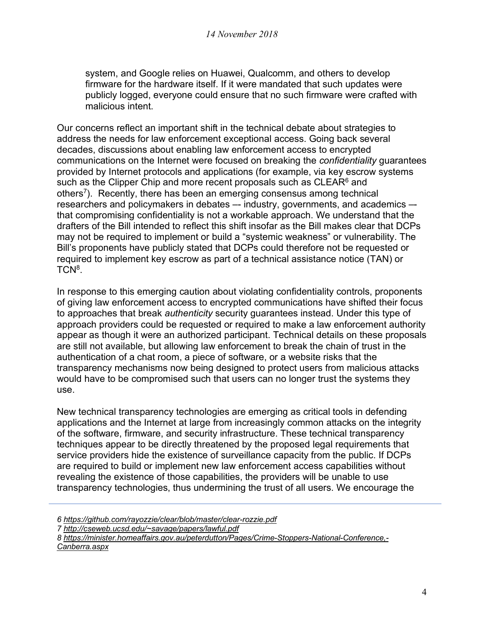system, and Google relies on Huawei, Qualcomm, and others to develop firmware for the hardware itself. If it were mandated that such updates were publicly logged, everyone could ensure that no such firmware were crafted with malicious intent.

Our concerns reflect an important shift in the technical debate about strategies to address the needs for law enforcement exceptional access. Going back several decades, discussions about enabling law enforcement access to encrypted communications on the Internet were focused on breaking the *confidentiality* guarantees provided by Internet protocols and applications (for example, via key escrow systems such as the Clipper Chip and more recent proposals such as CLEAR<sup>6</sup> and others7). Recently, there has been an emerging consensus among technical researchers and policymakers in debates -- industry, governments, and academics that compromising confidentiality is not a workable approach. We understand that the drafters of the Bill intended to reflect this shift insofar as the Bill makes clear that DCPs may not be required to implement or build a "systemic weakness" or vulnerability. The Bill's proponents have publicly stated that DCPs could therefore not be requested or required to implement key escrow as part of a technical assistance notice (TAN) or TCN<sup>8</sup>.

In response to this emerging caution about violating confidentiality controls, proponents of giving law enforcement access to encrypted communications have shifted their focus to approaches that break *authenticity* security guarantees instead. Under this type of approach providers could be requested or required to make a law enforcement authority appear as though it were an authorized participant. Technical details on these proposals are still not available, but allowing law enforcement to break the chain of trust in the authentication of a chat room, a piece of software, or a website risks that the transparency mechanisms now being designed to protect users from malicious attacks would have to be compromised such that users can no longer trust the systems they use.

New technical transparency technologies are emerging as critical tools in defending applications and the Internet at large from increasingly common attacks on the integrity of the software, firmware, and security infrastructure. These technical transparency techniques appear to be directly threatened by the proposed legal requirements that service providers hide the existence of surveillance capacity from the public. If DCPs are required to build or implement new law enforcement access capabilities without revealing the existence of those capabilities, the providers will be unable to use transparency technologies, thus undermining the trust of all users. We encourage the

*7 http://cseweb.ucsd.edu/~savage/papers/lawful.pdf*

*8 https://minister.homeaffairs.gov.au/peterdutton/Pages/Crime-Stoppers-National-Conference,- Canberra.aspx*

*<sup>6</sup> https://github.com/rayozzie/clear/blob/master/clear-rozzie.pdf*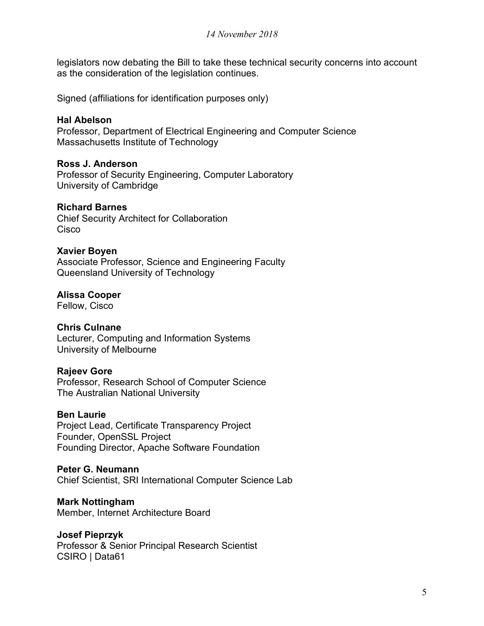legislators now debating the Bill to take these technical security concerns into account as the consideration of the legislation continues.

Signed (affiliations for identification purposes only)

## **Hal Abelson**

Professor, Department of Electrical Engineering and Computer Science Massachusetts Institute of Technology

## **Ross J. Anderson**

Professor of Security Engineering, Computer Laboratory University of Cambridge

## **Richard Barnes**

Chief Security Architect for Collaboration **Cisco** 

## **Xavier Boyen**

Associate Professor, Science and Engineering Faculty Queensland University of Technology

## **Alissa Cooper**

Fellow, Cisco

## **Chris Culnane**

Lecturer, Computing and Information Systems University of Melbourne

#### **Rajeev Gore**

Professor, Research School of Computer Science The Australian National University

#### **Ben Laurie**

Project Lead, Certificate Transparency Project Founder, OpenSSL Project Founding Director, Apache Software Foundation

#### **Peter G. Neumann**

Chief Scientist, SRI International Computer Science Lab

## **Mark Nottingham**

Member, Internet Architecture Board

## **Josef Pieprzyk**

Professor & Senior Principal Research Scientist CSIRO | Data61